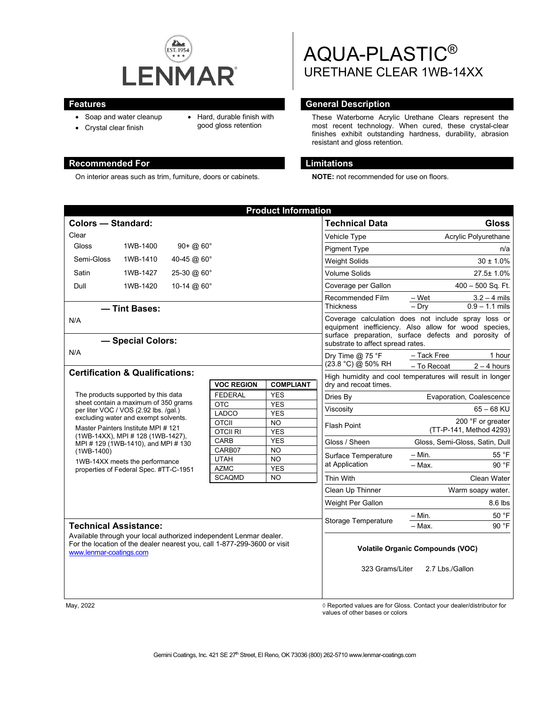

- Soap and water cleanup
- Hard, durable finish with good gloss retention
- Crystal clear finish

On interior areas such as trim, furniture, doors or cabinets. **NOTE:** not recommended for use on floors.

# AQUA-PLASTIC® URETHANE CLEAR 1WB-14XX

### **Features General Description**

These Waterborne Acrylic Urethane Clears represent the most recent technology. When cured, these crystal-clear finishes exhibit outstanding hardness, durability, abrasion resistant and gloss retention.

# **Recommended For Limitations**

| <b>Product Information</b>                                                                                                                                                                                                                                                                                                                                                 |                              |  |                            |                         |                                                                                                                                                                                                                                                                               |                                |
|----------------------------------------------------------------------------------------------------------------------------------------------------------------------------------------------------------------------------------------------------------------------------------------------------------------------------------------------------------------------------|------------------------------|--|----------------------------|-------------------------|-------------------------------------------------------------------------------------------------------------------------------------------------------------------------------------------------------------------------------------------------------------------------------|--------------------------------|
| <b>Colors - Standard:</b>                                                                                                                                                                                                                                                                                                                                                  |                              |  |                            |                         | <b>Technical Data</b>                                                                                                                                                                                                                                                         | <b>Gloss</b>                   |
| Clear                                                                                                                                                                                                                                                                                                                                                                      |                              |  |                            |                         | Vehicle Type                                                                                                                                                                                                                                                                  | Acrylic Polyurethane           |
| Gloss                                                                                                                                                                                                                                                                                                                                                                      | 1WB-1400<br>$90 + (20.60)$ ° |  |                            |                         | <b>Pigment Type</b>                                                                                                                                                                                                                                                           | n/a                            |
| Semi-Gloss                                                                                                                                                                                                                                                                                                                                                                 | 1WB-1410<br>40-45 @ 60°      |  |                            |                         | <b>Weight Solids</b>                                                                                                                                                                                                                                                          | $30 \pm 1.0\%$                 |
| Satin                                                                                                                                                                                                                                                                                                                                                                      | 1WB-1427<br>25-30 @ 60°      |  |                            |                         | <b>Volume Solids</b>                                                                                                                                                                                                                                                          | 27.5± 1.0%                     |
| Dull                                                                                                                                                                                                                                                                                                                                                                       | 10-14 @ 60°<br>1WB-1420      |  |                            | Coverage per Gallon     | $400 - 500$ Sq. Ft.                                                                                                                                                                                                                                                           |                                |
|                                                                                                                                                                                                                                                                                                                                                                            |                              |  |                            |                         | Recommended Film                                                                                                                                                                                                                                                              | – Wet<br>$3.2 - 4$ mils        |
| - Tint Bases:                                                                                                                                                                                                                                                                                                                                                              |                              |  |                            |                         | <b>Thickness</b>                                                                                                                                                                                                                                                              | $-$ Drv<br>$0.9 - 1.1$ mils    |
| N/A                                                                                                                                                                                                                                                                                                                                                                        |                              |  |                            |                         | Coverage calculation does not include spray loss or<br>equipment inefficiency. Also allow for wood species,<br>surface preparation, surface defects and porosity of<br>substrate to affect spread rates.<br>Dry Time $@$ 75 °F<br>- Tack Free<br>1 hour<br>(23.8 °C) @ 50% RH |                                |
| - Special Colors:<br>N/A                                                                                                                                                                                                                                                                                                                                                   |                              |  |                            |                         |                                                                                                                                                                                                                                                                               |                                |
|                                                                                                                                                                                                                                                                                                                                                                            |                              |  |                            |                         |                                                                                                                                                                                                                                                                               |                                |
| <b>Certification &amp; Qualifications:</b>                                                                                                                                                                                                                                                                                                                                 |                              |  |                            |                         | - To Recoat<br>$2 - 4$ hours<br>High humidity and cool temperatures will result in longer<br>dry and recoat times.                                                                                                                                                            |                                |
| <b>VOC REGION</b><br><b>COMPLIANT</b>                                                                                                                                                                                                                                                                                                                                      |                              |  |                            |                         |                                                                                                                                                                                                                                                                               |                                |
| The products supported by this data<br>sheet contain a maximum of 350 grams<br>per liter VOC / VOS (2.92 lbs. /gal.)<br>excluding water and exempt solvents.<br>Master Painters Institute MPI #121<br>(1WB-14XX), MPI # 128 (1WB-1427),<br>MPI # 129 (1WB-1410), and MPI # 130<br>$(1WB-1400)$<br>1WB-14XX meets the performance<br>properties of Federal Spec. #TT-C-1951 |                              |  | <b>FEDERAL</b>             | <b>YES</b>              | Dries By                                                                                                                                                                                                                                                                      | Evaporation, Coalescence       |
|                                                                                                                                                                                                                                                                                                                                                                            |                              |  | <b>OTC</b>                 | <b>YES</b>              | Viscosity                                                                                                                                                                                                                                                                     | $65 - 68$ KU                   |
|                                                                                                                                                                                                                                                                                                                                                                            |                              |  | LADCO<br><b>OTCII</b>      | <b>YES</b><br>NO.       | <b>Flash Point</b>                                                                                                                                                                                                                                                            | 200 °F or greater              |
|                                                                                                                                                                                                                                                                                                                                                                            |                              |  | <b>OTCIL RI</b>            | <b>YES</b>              |                                                                                                                                                                                                                                                                               | (TT-P-141, Method 4293)        |
|                                                                                                                                                                                                                                                                                                                                                                            |                              |  | CARB                       | <b>YES</b>              | Gloss / Sheen                                                                                                                                                                                                                                                                 | Gloss, Semi-Gloss, Satin, Dull |
|                                                                                                                                                                                                                                                                                                                                                                            |                              |  | CARB07                     | <b>NO</b>               | Surface Temperature<br>at Application                                                                                                                                                                                                                                         | 55 °F<br>– Min.                |
|                                                                                                                                                                                                                                                                                                                                                                            |                              |  | <b>UTAH</b><br><b>AZMC</b> | <b>NO</b><br><b>YES</b> |                                                                                                                                                                                                                                                                               | 90 °F<br>$-$ Max.              |
|                                                                                                                                                                                                                                                                                                                                                                            |                              |  | <b>SCAQMD</b>              | <b>NO</b>               | Thin With                                                                                                                                                                                                                                                                     | <b>Clean Water</b>             |
|                                                                                                                                                                                                                                                                                                                                                                            |                              |  |                            |                         | Clean Up Thinner                                                                                                                                                                                                                                                              | Warm soapy water.              |
|                                                                                                                                                                                                                                                                                                                                                                            |                              |  |                            |                         | Weight Per Gallon                                                                                                                                                                                                                                                             | 8.6 lbs                        |
|                                                                                                                                                                                                                                                                                                                                                                            |                              |  |                            |                         | Storage Temperature                                                                                                                                                                                                                                                           | 50 °F<br>– Min.                |
| <b>Technical Assistance:</b>                                                                                                                                                                                                                                                                                                                                               |                              |  |                            |                         |                                                                                                                                                                                                                                                                               | 90 °F<br>- Max.                |
| Available through your local authorized independent Lenmar dealer.<br>For the location of the dealer nearest you, call 1-877-299-3600 or visit<br>www.lenmar-coatings.com                                                                                                                                                                                                  |                              |  |                            |                         | <b>Volatile Organic Compounds (VOC)</b><br>2.7 Lbs./Gallon<br>323 Grams/Liter                                                                                                                                                                                                 |                                |
|                                                                                                                                                                                                                                                                                                                                                                            |                              |  |                            |                         |                                                                                                                                                                                                                                                                               |                                |

May, 2022 *May, 2022 Reported values are for Gloss. Contact your dealer/distributor for* $\Diamond$  **Reported values are for Gloss. Contact your dealer/distributor for** values of other bases or colors